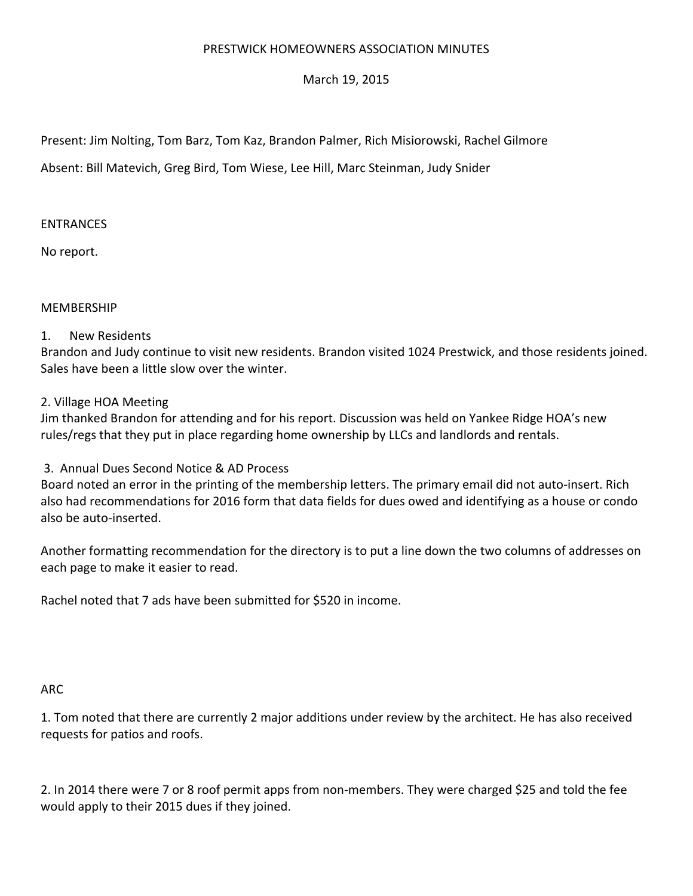## PRESTWICK HOMEOWNERS ASSOCIATION MINUTES

March 19, 2015

Present: Jim Nolting, Tom Barz, Tom Kaz, Brandon Palmer, Rich Misiorowski, Rachel Gilmore

Absent: Bill Matevich, Greg Bird, Tom Wiese, Lee Hill, Marc Steinman, Judy Snider

## ENTRANCES

No report.

## MEMBERSHIP

## 1. New Residents

Brandon and Judy continue to visit new residents. Brandon visited 1024 Prestwick, and those residents joined. Sales have been a little slow over the winter.

2. Village HOA Meeting

Jim thanked Brandon for attending and for his report. Discussion was held on Yankee Ridge HOA's new rules/regs that they put in place regarding home ownership by LLCs and landlords and rentals.

3. Annual Dues Second Notice & AD Process

Board noted an error in the printing of the membership letters. The primary email did not auto‐insert. Rich also had recommendations for 2016 form that data fields for dues owed and identifying as a house or condo also be auto‐inserted.

Another formatting recommendation for the directory is to put a line down the two columns of addresses on each page to make it easier to read.

Rachel noted that 7 ads have been submitted for \$520 in income.

## ARC

1. Tom noted that there are currently 2 major additions under review by the architect. He has also received requests for patios and roofs.

2. In 2014 there were 7 or 8 roof permit apps from non‐members. They were charged \$25 and told the fee would apply to their 2015 dues if they joined.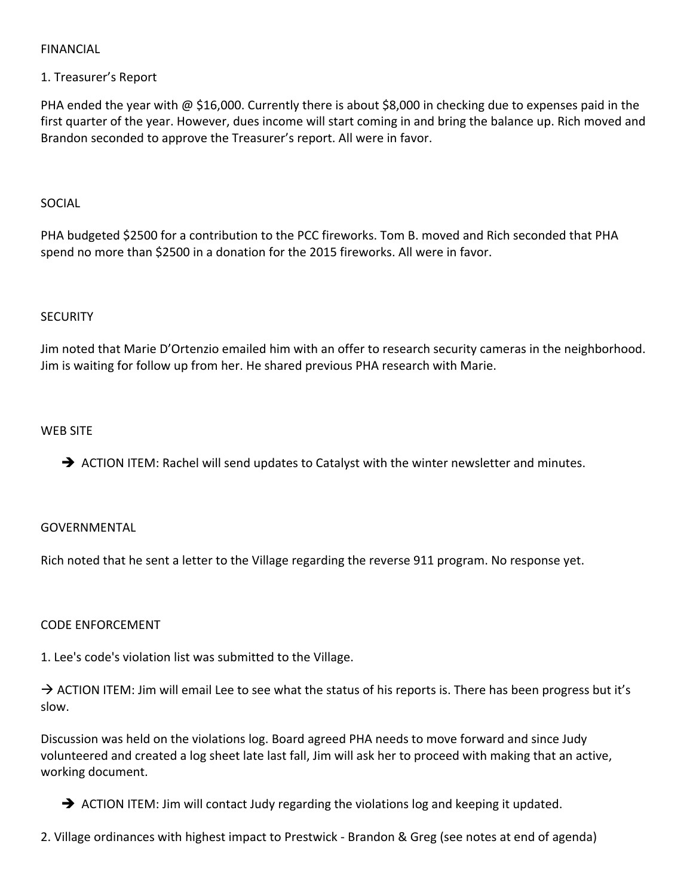## FINANCIAL

## 1. Treasurer's Report

PHA ended the year with @ \$16,000. Currently there is about \$8,000 in checking due to expenses paid in the first quarter of the year. However, dues income will start coming in and bring the balance up. Rich moved and Brandon seconded to approve the Treasurer's report. All were in favor.

#### SOCIAL

PHA budgeted \$2500 for a contribution to the PCC fireworks. Tom B. moved and Rich seconded that PHA spend no more than \$2500 in a donation for the 2015 fireworks. All were in favor.

#### **SECURITY**

Jim noted that Marie D'Ortenzio emailed him with an offer to research security cameras in the neighborhood. Jim is waiting for follow up from her. He shared previous PHA research with Marie.

#### WEB SITE

ACTION ITEM: Rachel will send updates to Catalyst with the winter newsletter and minutes.

## GOVERNMENTAL

Rich noted that he sent a letter to the Village regarding the reverse 911 program. No response yet.

# CODE ENFORCEMENT

1. Lee's code's violation list was submitted to the Village.

 $\rightarrow$  ACTION ITEM: Jim will email Lee to see what the status of his reports is. There has been progress but it's slow.

Discussion was held on the violations log. Board agreed PHA needs to move forward and since Judy volunteered and created a log sheet late last fall, Jim will ask her to proceed with making that an active, working document.

 $\rightarrow$  ACTION ITEM: Jim will contact Judy regarding the violations log and keeping it updated.

2. Village ordinances with highest impact to Prestwick ‐ Brandon & Greg (see notes at end of agenda)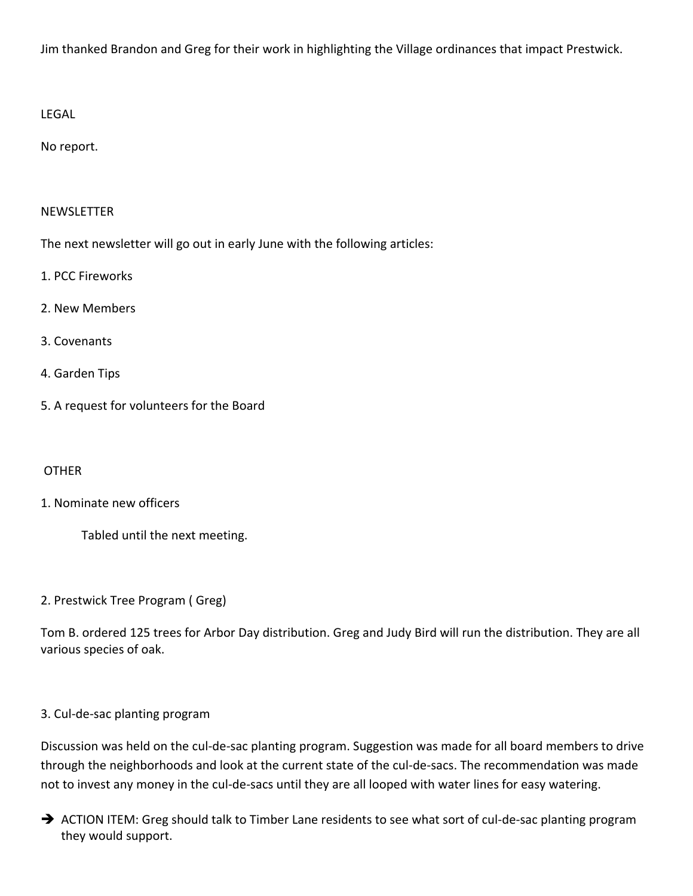Jim thanked Brandon and Greg for their work in highlighting the Village ordinances that impact Prestwick.

LEGAL

No report.

## NEWSLETTER

The next newsletter will go out in early June with the following articles:

- 1. PCC Fireworks
- 2. New Members
- 3. Covenants
- 4. Garden Tips
- 5. A request for volunteers for the Board

## **OTHER**

# 1. Nominate new officers

Tabled until the next meeting.

2. Prestwick Tree Program ( Greg)

Tom B. ordered 125 trees for Arbor Day distribution. Greg and Judy Bird will run the distribution. They are all various species of oak.

# 3. Cul‐de‐sac planting program

Discussion was held on the cul‐de‐sac planting program. Suggestion was made for all board members to drive through the neighborhoods and look at the current state of the cul‐de‐sacs. The recommendation was made not to invest any money in the cul-de-sacs until they are all looped with water lines for easy watering.

→ ACTION ITEM: Greg should talk to Timber Lane residents to see what sort of cul-de-sac planting program they would support.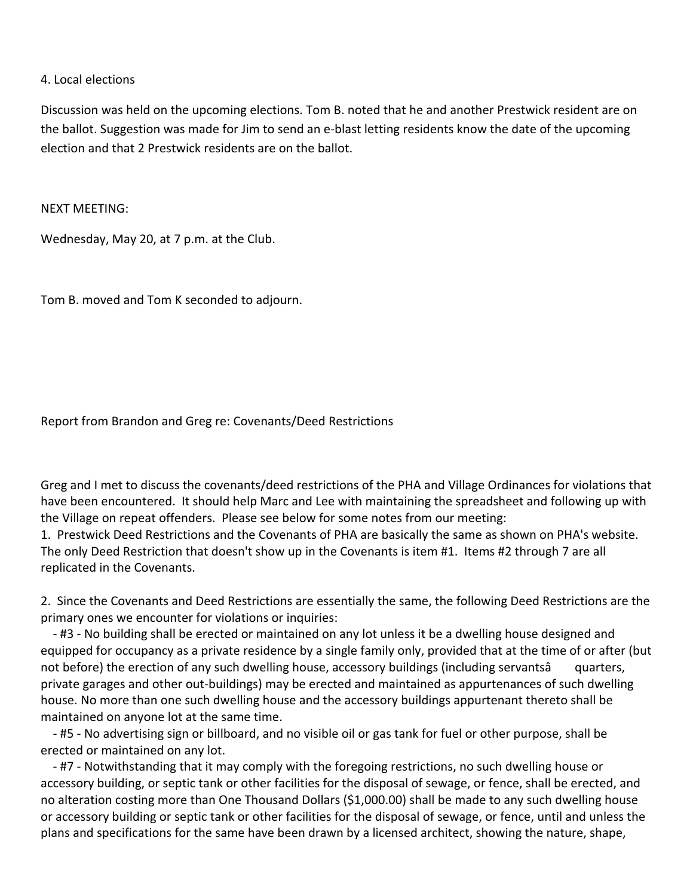#### 4. Local elections

Discussion was held on the upcoming elections. Tom B. noted that he and another Prestwick resident are on the ballot. Suggestion was made for Jim to send an e‐blast letting residents know the date of the upcoming election and that 2 Prestwick residents are on the ballot.

NEXT MEETING:

Wednesday, May 20, at 7 p.m. at the Club.

Tom B. moved and Tom K seconded to adjourn.

Report from Brandon and Greg re: Covenants/Deed Restrictions

Greg and I met to discuss the covenants/deed restrictions of the PHA and Village Ordinances for violations that have been encountered. It should help Marc and Lee with maintaining the spreadsheet and following up with the Village on repeat offenders. Please see below for some notes from our meeting:

1. Prestwick Deed Restrictions and the Covenants of PHA are basically the same as shown on PHA's website. The only Deed Restriction that doesn't show up in the Covenants is item #1. Items #2 through 7 are all replicated in the Covenants.

2. Since the Covenants and Deed Restrictions are essentially the same, the following Deed Restrictions are the primary ones we encounter for violations or inquiries:

 ‐ #3 ‐ No building shall be erected or maintained on any lot unless it be a dwelling house designed and equipped for occupancy as a private residence by a single family only, provided that at the time of or after (but not before) the erection of any such dwelling house, accessory buildings (including servantsâ quarters, private garages and other out‐buildings) may be erected and maintained as appurtenances of such dwelling house. No more than one such dwelling house and the accessory buildings appurtenant thereto shall be maintained on anyone lot at the same time.

 ‐ #5 ‐ No advertising sign or billboard, and no visible oil or gas tank for fuel or other purpose, shall be erected or maintained on any lot.

 ‐ #7 ‐ Notwithstanding that it may comply with the foregoing restrictions, no such dwelling house or accessory building, or septic tank or other facilities for the disposal of sewage, or fence, shall be erected, and no alteration costing more than One Thousand Dollars (\$1,000.00) shall be made to any such dwelling house or accessory building or septic tank or other facilities for the disposal of sewage, or fence, until and unless the plans and specifications for the same have been drawn by a licensed architect, showing the nature, shape,